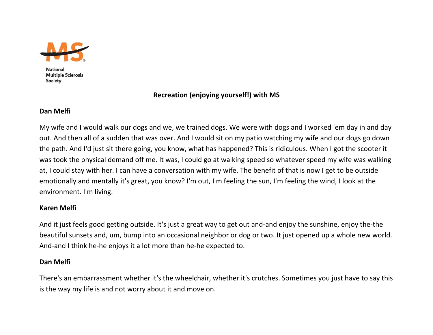

**National Multiple Sclerosis** Society

# **Recreation (enjoying yourself!) with MS**

### **Dan Melfi**

My wife and I would walk our dogs and we, we trained dogs. We were with dogs and I worked 'em day in and day out. And then all of <sup>a</sup> sudden that was over. And I would sit on my patio watching my wife and our dogs go down the path. And I'd just sit there going, you know, what has happened? This is ridiculous. When I got the scooter it was took the physical demand off me. It was, I could go at walking speed so whatever speed my wife was walking at, I could stay with her. I can have <sup>a</sup> conversation with my wife. The benefit of that is now I get to be outside emotionally and mentally it's great, you know? I'm out, I'm feeling the sun, I'm feeling the wind, I look at the environment. I'm living.

# **Karen Melfi**

And it just feels good getting outside. It's just <sup>a</sup> great way to get out and‐and enjoy the sunshine, enjoy the‐the beautiful sunsets and, um, bump into an occasional neighbor or dog or two. It just opened up <sup>a</sup> whole new world. And‐and I think he‐he enjoys it <sup>a</sup> lot more than he‐he expected to.

### **Dan Melfi**

There's an embarrassment whether it's the wheelchair, whether it's crutches. Sometimes you just have to say this is the way my life is and not worry about it and move on.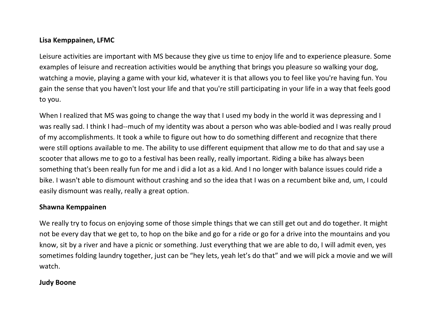# **Lisa Kemppainen, LFMC**

Leisure activities are important with MS because they give us time to enjoy life and to experience pleasure. Some examples of leisure and recreation activities would be anything that brings you pleasure so walking your dog, watching <sup>a</sup> movie, playing <sup>a</sup> game with your kid, whatever it is that allows you to feel like you're having fun. You gain the sense that you haven't lost your life and that you're still participating in your life in <sup>a</sup> way that feels good to you.

When I realized that MS was going to change the way that I used my body in the world it was depressing and I was really sad. I think I had‐‐much of my identity was about <sup>a</sup> person who was able‐bodied and I was really proud of my accomplishments. It took <sup>a</sup> while to figure out how to do something different and recognize that there were still options available to me. The ability to use different equipment that allow me to do that and say use <sup>a</sup> scooter that allows me to go to <sup>a</sup> festival has been really, really important. Riding <sup>a</sup> bike has always been something that's been really fun for me and i did <sup>a</sup> lot as <sup>a</sup> kid. And I no longer with balance issues could ride <sup>a</sup> bike. I wasn't able to dismount without crashing and so the idea that I was on <sup>a</sup> recumbent bike and, um, I could easily dismount was really, really <sup>a</sup> great option.

### **Shawna Kemppainen**

We really try to focus on enjoying some of those simple things that we can still get out and do together. It might not be every day that we get to, to hop on the bike and go for <sup>a</sup> ride or go for <sup>a</sup> drive into the mountains and you know, sit by <sup>a</sup> river and have <sup>a</sup> picnic or something. Just everything that we are able to do, I will admit even, yes sometimes folding laundry together, just can be "hey lets, yeah let's do that" and we will pick <sup>a</sup> movie and we will watch.

# **Judy Boone**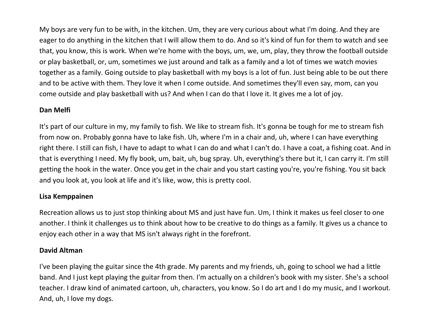My boys are very fun to be with, in the kitchen. Um, they are very curious about what I'm doing. And they are eager to do anything in the kitchen that I will allow them to do. And so it's kind of fun for them to watch and see that, you know, this is work. When we're home with the boys, um, we, um, play, they throw the football outside or play basketball, or, um, sometimes we just around and talk as <sup>a</sup> family and <sup>a</sup> lot of times we watch movies together as <sup>a</sup> family. Going outside to play basketball with my boys is <sup>a</sup> lot of fun. Just being able to be out there and to be active with them. They love it when I come outside. And sometimes they'll even say, mom, can you come outside and play basketball with us? And when I can do that I love it. It gives me <sup>a</sup> lot of joy.

### **Dan Melfi**

It's part of our culture in my, my family to fish. We like to stream fish. It's gonna be tough for me to stream fish from now on. Probably gonna have to lake fish. Uh, where I'm in <sup>a</sup> chair and, uh, where I can have everything right there. I still can fish, I have to adapt to what I can do and what I can't do. I have <sup>a</sup> coat, <sup>a</sup> fishing coat. And in that is everything I need. My fly book, um, bait, uh, bug spray. Uh, everything's there but it, I can carry it. I'm still getting the hook in the water. Once you get in the chair and you start casting you're, you're fishing. You sit back and you look at, you look at life and it's like, wow, this is pretty cool.

# **Lisa Kemppainen**

Recreation allows us to just stop thinking about MS and just have fun. Um, I think it makes us feel closer to one another. I think it challenges us to think about how to be creative to do things as <sup>a</sup> family. It gives us <sup>a</sup> chance to enjoy each other in <sup>a</sup> way that MS isn't always right in the forefront.

# **David Altman**

I've been playing the guitar since the 4th grade. My parents and my friends, uh, going to school we had <sup>a</sup> little band. And I just kept playing the guitar from then. I'm actually on <sup>a</sup> children's book with my sister. She's <sup>a</sup> school teacher. I draw kind of animated cartoon, uh, characters, you know. So I do art and I do my music, and I workout. And, uh, I love my dogs.